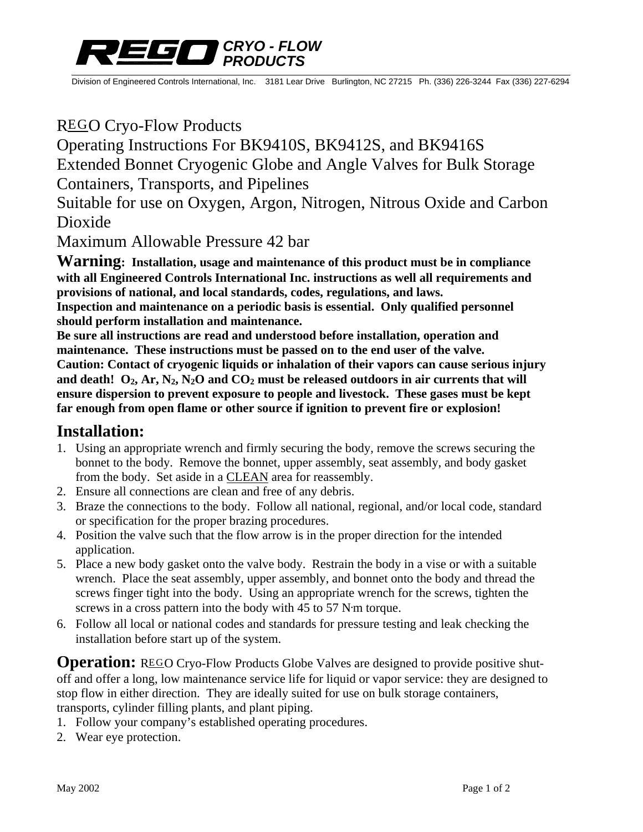

Division of Engineered Controls International, Inc. 3181 Lear Drive Burlington, NC 27215 Ph. (336) 226-3244 Fax (336) 227-6294

# REGO Cryo-Flow Products

# Operating Instructions For BK9410S, BK9412S, and BK9416S

Extended Bonnet Cryogenic Globe and Angle Valves for Bulk Storage Containers, Transports, and Pipelines

Suitable for use on Oxygen, Argon, Nitrogen, Nitrous Oxide and Carbon Dioxide

Maximum Allowable Pressure 42 bar

**Warning: Installation, usage and maintenance of this product must be in compliance with all Engineered Controls International Inc. instructions as well all requirements and provisions of national, and local standards, codes, regulations, and laws. Inspection and maintenance on a periodic basis is essential. Only qualified personnel should perform installation and maintenance.** 

**Be sure all instructions are read and understood before installation, operation and maintenance. These instructions must be passed on to the end user of the valve. Caution: Contact of cryogenic liquids or inhalation of their vapors can cause serious injury**  and death!  $O_2$ ,  $Ar$ ,  $N_2$ ,  $N_2O$  and  $CO_2$  must be released outdoors in air currents that will **ensure dispersion to prevent exposure to people and livestock. These gases must be kept far enough from open flame or other source if ignition to prevent fire or explosion!** 

## **Installation:**

- 1. Using an appropriate wrench and firmly securing the body, remove the screws securing the bonnet to the body. Remove the bonnet, upper assembly, seat assembly, and body gasket from the body. Set aside in a CLEAN area for reassembly.
- 2. Ensure all connections are clean and free of any debris.
- 3. Braze the connections to the body. Follow all national, regional, and/or local code, standard or specification for the proper brazing procedures.
- 4. Position the valve such that the flow arrow is in the proper direction for the intended application.
- 5. Place a new body gasket onto the valve body. Restrain the body in a vise or with a suitable wrench. Place the seat assembly, upper assembly, and bonnet onto the body and thread the screws finger tight into the body. Using an appropriate wrench for the screws, tighten the screws in a cross pattern into the body with 45 to 57 N**.** m torque.
- 6. Follow all local or national codes and standards for pressure testing and leak checking the installation before start up of the system.

**Operation:** REGO Cryo-Flow Products Globe Valves are designed to provide positive shutoff and offer a long, low maintenance service life for liquid or vapor service: they are designed to stop flow in either direction. They are ideally suited for use on bulk storage containers, transports, cylinder filling plants, and plant piping.

- 1. Follow your company's established operating procedures.
- 2. Wear eye protection.